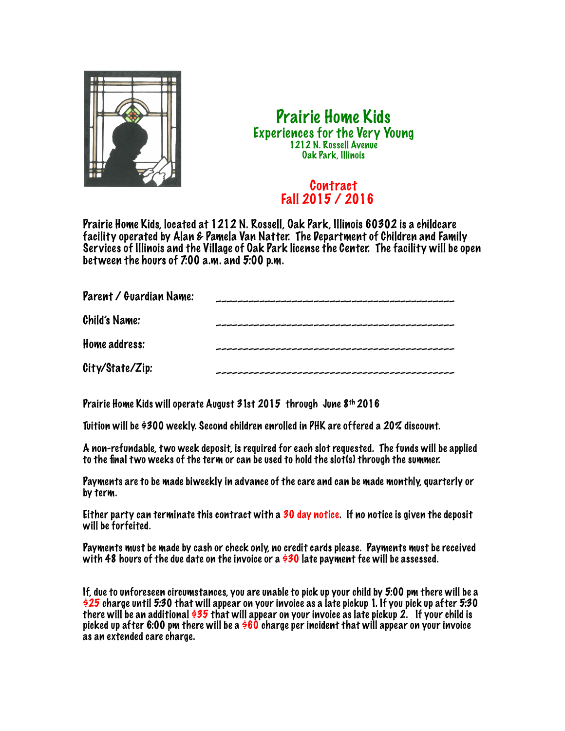

## Prairie Home Kids Experiences for the Very Young 1212 N. Rossell Avenue Oak Park, Illinois

## Contract Fall 2015 / 2016

Prairie Home Kids, located at 1212 N. Rossell, Oak Park, Illinois 60302 is a childcare facility operated by Alan & Pamela Van Natter. The Department of Children and Family Services of Illinois and the Village of Oak Park license the Center. The facility will be open between the hours of 7:00 a.m. and 5:00 p.m.

| Parent / Guardian Name: |  |
|-------------------------|--|
| Child's Name:           |  |
| Home address:           |  |
| City/State/Zip:         |  |

Prairie Home Kids will operate August 31st 2015 through June 8th 2016

Tuition will be \$300 weekly. Second children enrolled in PHK are offered a 20% discount.

A non-refundable, two week deposit, is required for each slot requested. The funds will be applied to the final two weeks of the term or can be used to hold the slot(s) through the summer.

Payments are to be made biweekly in advance of the care and can be made monthly, quarterly or by term.

Either party can terminate this contract with a 30 day notice. If no notice is given the deposit will be forfeited.

Payments must be made by cash or check only, no credit cards please. Payments must be received with 48 hours of the due date on the invoice or a  $\dot{\theta}$ 30 late payment fee will be assessed.

If, due to unforeseen circumstances, you are unable to pick up your child by 5:00 pm there will be a \$25 charge until 5:30 that will appear on your invoice as a late pickup 1. If you pick up after 5:30 there will be an additional \$35 that will appear on your invoice as late pickup 2. If your child is picked up after 6:00 pm there will be a  $\frac{\dot{\bm{\phi}}}{60}$  charge per incident that will appear on your invoice as an extended care charge.